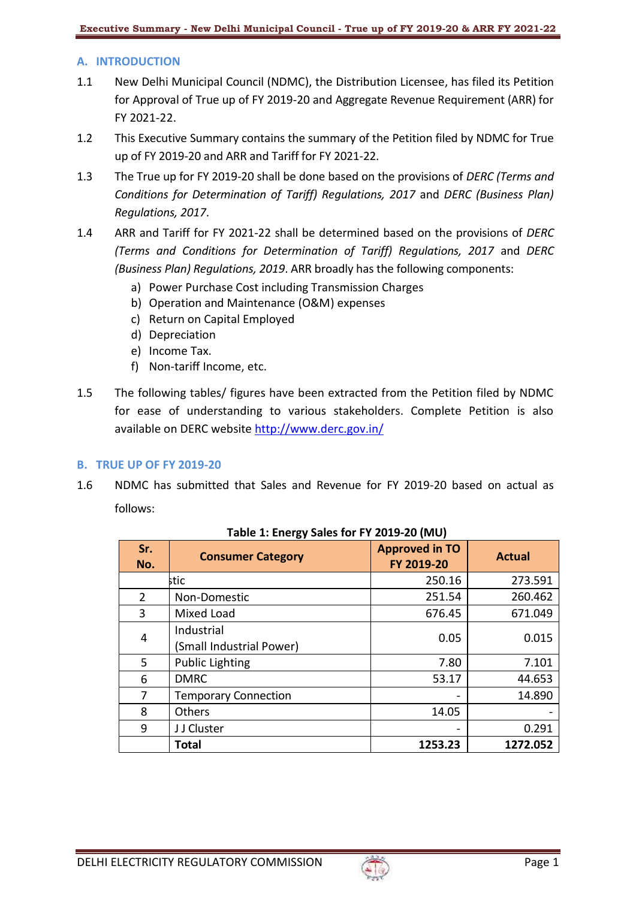# **A. INTRODUCTION**

- 1.1 New Delhi Municipal Council (NDMC), the Distribution Licensee, has filed its Petition for Approval of True up of FY 2019-20 and Aggregate Revenue Requirement (ARR) for FY 2021-22.
- 1.2 This Executive Summary contains the summary of the Petition filed by NDMC for True up of FY 2019-20 and ARR and Tariff for FY 2021-22.
- 1.3 The True up for FY 2019-20 shall be done based on the provisions of *DERC (Terms and Conditions for Determination of Tariff) Regulations, 2017* and *DERC (Business Plan) Regulations, 2017*.
- 1.4 ARR and Tariff for FY 2021-22 shall be determined based on the provisions of *DERC (Terms and Conditions for Determination of Tariff) Regulations, 2017* and *DERC (Business Plan) Regulations, 2019*. ARR broadly has the following components:
	- a) Power Purchase Cost including Transmission Charges
	- b) Operation and Maintenance (O&M) expenses
	- c) Return on Capital Employed
	- d) Depreciation
	- e) Income Tax.
	- f) Non-tariff Income, etc.
- 1.5 The following tables/ figures have been extracted from the Petition filed by NDMC for ease of understanding to various stakeholders. Complete Petition is also available on DERC website<http://www.derc.gov.in/>

#### **B. TRUE UP OF FY 2019-20**

1.6 NDMC has submitted that Sales and Revenue for FY 2019-20 based on actual as follows:

| Sr.<br>No.     | <b>Consumer Category</b>               | <b>Approved in TO</b><br>FY 2019-20 | <b>Actual</b> |
|----------------|----------------------------------------|-------------------------------------|---------------|
|                | stic                                   | 250.16                              | 273.591       |
| $\overline{2}$ | Non-Domestic                           | 251.54                              | 260.462       |
| 3              | Mixed Load                             | 676.45                              | 671.049       |
| 4              | Industrial<br>(Small Industrial Power) | 0.05                                | 0.015         |
| 5              | <b>Public Lighting</b>                 | 7.80                                | 7.101         |
| 6              | <b>DMRC</b>                            | 53.17                               | 44.653        |
| 7              | <b>Temporary Connection</b>            | $\qquad \qquad \blacksquare$        | 14.890        |
| 8              | Others                                 | 14.05                               |               |
| 9              | J J Cluster                            | $\overline{\phantom{0}}$            | 0.291         |
|                | <b>Total</b>                           | 1253.23                             | 1272.052      |

**Table 1: Energy Sales for FY 2019-20 (MU)**

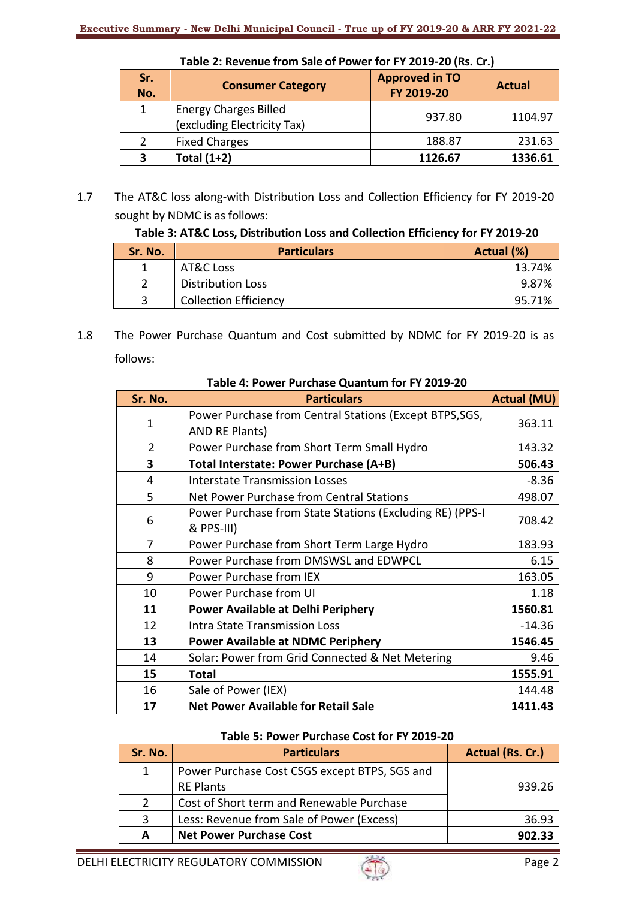| Sr.<br>No. | <b>Consumer Category</b>                                    | <b>Approved in TO</b><br>FY 2019-20 | <b>Actual</b> |
|------------|-------------------------------------------------------------|-------------------------------------|---------------|
|            | <b>Energy Charges Billed</b><br>(excluding Electricity Tax) | 937.80                              | 1104.97       |
|            | <b>Fixed Charges</b>                                        | 188.87                              | 231.63        |
| З          | Total $(1+2)$                                               | 1126.67                             | 1336.61       |

**Table 2: Revenue from Sale of Power for FY 2019-20 (Rs. Cr.)**

1.7 The AT&C loss along-with Distribution Loss and Collection Efficiency for FY 2019-20 sought by NDMC is as follows:

**Table 3: AT&C Loss, Distribution Loss and Collection Efficiency for FY 2019-20**

| Sr. No. | <b>Particulars</b>           | Actual (%) |
|---------|------------------------------|------------|
|         | AT&C Loss                    | 13.74%     |
|         | <b>Distribution Loss</b>     | 9.87%      |
|         | <b>Collection Efficiency</b> | 95.71%     |

1.8 The Power Purchase Quantum and Cost submitted by NDMC for FY 2019-20 is as follows:

| Sr. No.        | <b>Particulars</b>                                       | <b>Actual (MU)</b> |
|----------------|----------------------------------------------------------|--------------------|
|                | Power Purchase from Central Stations (Except BTPS, SGS,  |                    |
| 1              | AND RE Plants)                                           | 363.11             |
| $\overline{2}$ | Power Purchase from Short Term Small Hydro               | 143.32             |
| 3              | Total Interstate: Power Purchase (A+B)                   | 506.43             |
| 4              | <b>Interstate Transmission Losses</b>                    | $-8.36$            |
| 5              | Net Power Purchase from Central Stations                 | 498.07             |
|                | Power Purchase from State Stations (Excluding RE) (PPS-I |                    |
| 6              | & PPS-III)                                               | 708.42             |
| 7              | Power Purchase from Short Term Large Hydro               | 183.93             |
| 8              | Power Purchase from DMSWSL and EDWPCL                    | 6.15               |
| 9              | Power Purchase from IEX                                  | 163.05             |
| 10             | Power Purchase from UI                                   | 1.18               |
| 11             | Power Available at Delhi Periphery                       | 1560.81            |
| 12             | <b>Intra State Transmission Loss</b>                     | $-14.36$           |
| 13             | <b>Power Available at NDMC Periphery</b>                 | 1546.45            |
| 14             | Solar: Power from Grid Connected & Net Metering          | 9.46               |
| 15             | <b>Total</b>                                             | 1555.91            |
| 16             | Sale of Power (IEX)                                      | 144.48             |
| 17             | <b>Net Power Available for Retail Sale</b>               | 1411.43            |

#### **Table 4: Power Purchase Quantum for FY 2019-20**

# **Table 5: Power Purchase Cost for FY 2019-20**

| Sr. No.       | <b>Particulars</b>                            | Actual (Rs. Cr.) |
|---------------|-----------------------------------------------|------------------|
| $\mathbf{1}$  | Power Purchase Cost CSGS except BTPS, SGS and |                  |
|               | <b>RE Plants</b>                              | 939.26           |
| $\mathcal{P}$ | Cost of Short term and Renewable Purchase     |                  |
| 3             | Less: Revenue from Sale of Power (Excess)     | 36.93            |
| А             | <b>Net Power Purchase Cost</b>                | 902.33           |

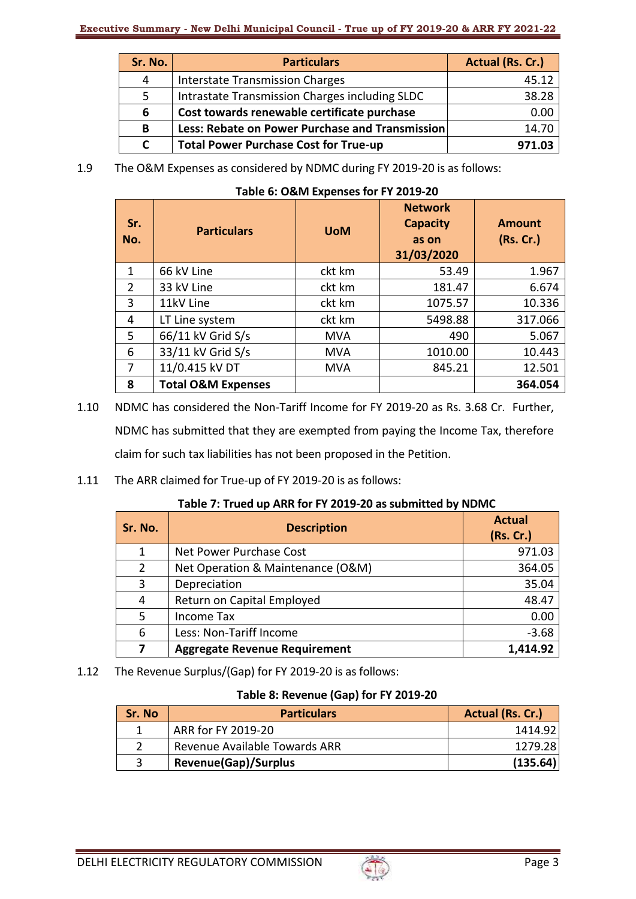| Sr. No. | <b>Particulars</b>                              | Actual (Rs. Cr.) |
|---------|-------------------------------------------------|------------------|
| 4       | <b>Interstate Transmission Charges</b>          | 45.12            |
| 5.      | Intrastate Transmission Charges including SLDC  | 38.28            |
| 6       | Cost towards renewable certificate purchase     | 0.00             |
| B       | Less: Rebate on Power Purchase and Transmission | 14.70            |
|         | <b>Total Power Purchase Cost for True-up</b>    | 971.03           |

1.9 The O&M Expenses as considered by NDMC during FY 2019-20 is as follows:

| Sr.<br>No. | <b>Particulars</b>            | <b>UoM</b> | <b>Network</b><br><b>Capacity</b><br>as on<br>31/03/2020 | <b>Amount</b><br>(Rs. Cr.) |
|------------|-------------------------------|------------|----------------------------------------------------------|----------------------------|
| 1          | 66 kV Line                    | ckt km     | 53.49                                                    | 1.967                      |
| 2          | 33 kV Line                    | ckt km     | 181.47                                                   | 6.674                      |
| 3          | 11kV Line                     | ckt km     | 1075.57                                                  | 10.336                     |
| 4          | LT Line system                | ckt km     | 5498.88                                                  | 317.066                    |
| 5.         | 66/11 kV Grid S/s             | <b>MVA</b> | 490                                                      | 5.067                      |
| 6          | 33/11 kV Grid S/s             | <b>MVA</b> | 1010.00                                                  | 10.443                     |
| 7          | 11/0.415 kV DT                | <b>MVA</b> | 845.21                                                   | 12.501                     |
| 8          | <b>Total O&amp;M Expenses</b> |            |                                                          | 364.054                    |

- 1.10 NDMC has considered the Non-Tariff Income for FY 2019-20 as Rs. 3.68 Cr. Further, NDMC has submitted that they are exempted from paying the Income Tax, therefore claim for such tax liabilities has not been proposed in the Petition.
- 1.11 The ARR claimed for True-up of FY 2019-20 is as follows:

| Table 7: Trued up ARR for FY 2019-20 as submitted by NDMC |
|-----------------------------------------------------------|
|-----------------------------------------------------------|

| Sr. No.        | <b>Description</b>                   | <b>Actual</b><br>(Rs. Cr.) |
|----------------|--------------------------------------|----------------------------|
| 1              | Net Power Purchase Cost              | 971.03                     |
| $\overline{2}$ | Net Operation & Maintenance (O&M)    | 364.05                     |
| 3              | Depreciation                         | 35.04                      |
| 4              | Return on Capital Employed           | 48.47                      |
| 5              | Income Tax                           | 0.00                       |
| 6              | Less: Non-Tariff Income              | $-3.68$                    |
|                | <b>Aggregate Revenue Requirement</b> | 1,414.92                   |

1.12 The Revenue Surplus/(Gap) for FY 2019-20 is as follows:

# **Table 8: Revenue (Gap) for FY 2019-20**

| Sr. No | <b>Particulars</b>            | Actual (Rs. Cr.) |
|--------|-------------------------------|------------------|
|        | ARR for FY 2019-20            | 1414.92          |
|        | Revenue Available Towards ARR | 1279.28          |
|        | <b>Revenue(Gap)/Surplus</b>   | (135.64)         |

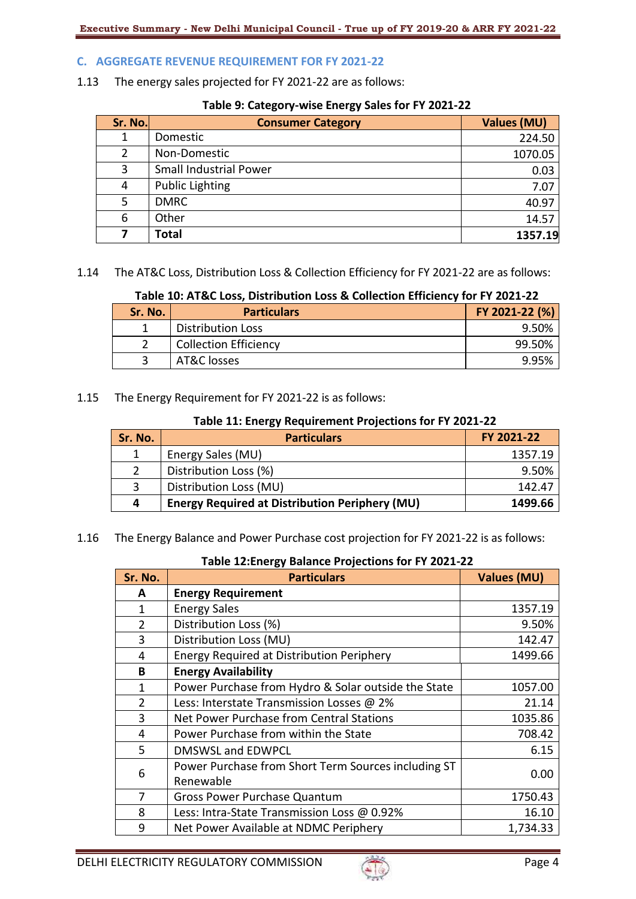## **C. AGGREGATE REVENUE REQUIREMENT FOR FY 2021-22**

1.13 The energy sales projected for FY 2021-22 are as follows:

#### **Table 9: Category-wise Energy Sales for FY 2021-22**

| Sr. No. | <b>Consumer Category</b>      | <b>Values (MU)</b> |
|---------|-------------------------------|--------------------|
|         | Domestic                      | 224.50             |
| 2       | Non-Domestic                  | 1070.05            |
| 3       | <b>Small Industrial Power</b> | 0.03               |
| 4       | <b>Public Lighting</b>        | 7.07               |
| 5.      | <b>DMRC</b>                   | 40.97              |
| 6       | Other                         | 14.57              |
|         | <b>Total</b>                  | 1357.19            |

1.14 The AT&C Loss, Distribution Loss & Collection Efficiency for FY 2021-22 are as follows:

# **Table 10: AT&C Loss, Distribution Loss & Collection Efficiency for FY 2021-22**

| Sr. No. | <b>Particulars</b>           | FY 2021-22 (%) |
|---------|------------------------------|----------------|
|         | <b>Distribution Loss</b>     | 9.50%          |
|         | <b>Collection Efficiency</b> | 99.50%         |
|         | AT&C losses                  |                |

1.15 The Energy Requirement for FY 2021-22 is as follows:

## **Table 11: Energy Requirement Projections for FY 2021-22**

| Sr. No.       | <b>Particulars</b>                                    | FY 2021-22 |
|---------------|-------------------------------------------------------|------------|
|               | Energy Sales (MU)                                     | 1357.19    |
| $\mathcal{P}$ | Distribution Loss (%)                                 | 9.50%      |
| 3             | Distribution Loss (MU)                                | 142.47     |
| 4             | <b>Energy Required at Distribution Periphery (MU)</b> | 1499.66    |

1.16 The Energy Balance and Power Purchase cost projection for FY 2021-22 is as follows:

#### **Table 12:Energy Balance Projections for FY 2021-22**

| Sr. No.        | <b>Particulars</b>                                  | <b>Values (MU)</b> |
|----------------|-----------------------------------------------------|--------------------|
| A              | <b>Energy Requirement</b>                           |                    |
| 1              | <b>Energy Sales</b>                                 | 1357.19            |
| $\overline{2}$ | Distribution Loss (%)                               | 9.50%              |
| 3              | Distribution Loss (MU)                              | 142.47             |
| 4              | <b>Energy Required at Distribution Periphery</b>    | 1499.66            |
| B              | <b>Energy Availability</b>                          |                    |
| 1              | Power Purchase from Hydro & Solar outside the State | 1057.00            |
| $\overline{2}$ | Less: Interstate Transmission Losses @ 2%           | 21.14              |
| 3              | Net Power Purchase from Central Stations            | 1035.86            |
| 4              | Power Purchase from within the State                | 708.42             |
| 5              | <b>DMSWSL and EDWPCL</b>                            | 6.15               |
| 6              | Power Purchase from Short Term Sources including ST | 0.00               |
|                | Renewable                                           |                    |
| 7              | <b>Gross Power Purchase Quantum</b>                 | 1750.43            |
| 8              | Less: Intra-State Transmission Loss @ 0.92%         | 16.10              |
| 9              | Net Power Available at NDMC Periphery               | 1,734.33           |

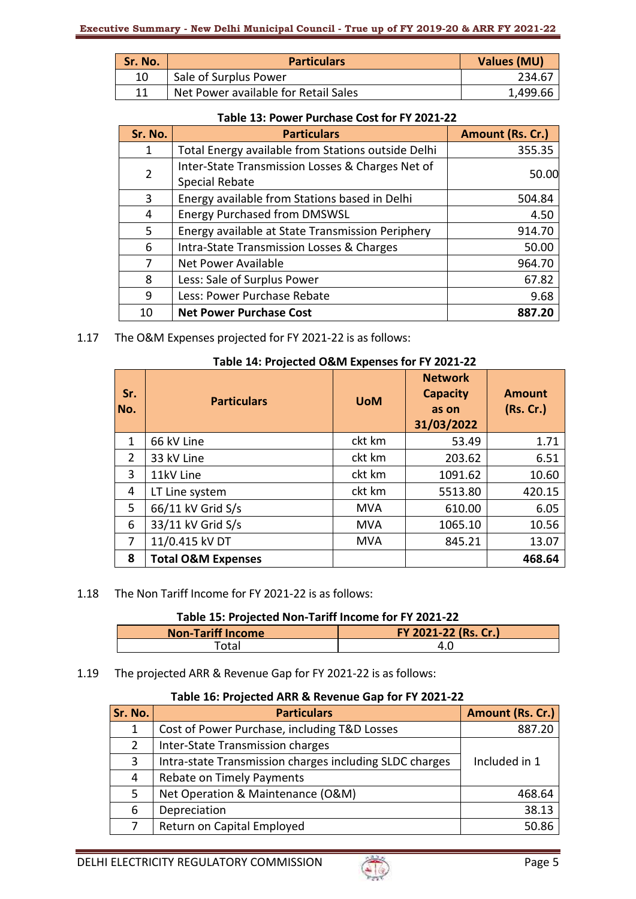| Sr. No. | <b>Particulars</b>                   | Values (MU) |
|---------|--------------------------------------|-------------|
| 10      | Sale of Surplus Power                | 234.67      |
| 11      | Net Power available for Retail Sales | 1,499.66    |

#### **Table 13: Power Purchase Cost for FY 2021-22**

| Sr. No.        | <b>Particulars</b>                                                        | Amount (Rs. Cr.) |
|----------------|---------------------------------------------------------------------------|------------------|
| 1              | Total Energy available from Stations outside Delhi                        | 355.35           |
| $\overline{2}$ | Inter-State Transmission Losses & Charges Net of<br><b>Special Rebate</b> | 50.00            |
| 3              | Energy available from Stations based in Delhi                             | 504.84           |
| 4              | <b>Energy Purchased from DMSWSL</b>                                       | 4.50             |
| 5              | Energy available at State Transmission Periphery                          | 914.70           |
| 6              | Intra-State Transmission Losses & Charges                                 | 50.00            |
| 7              | <b>Net Power Available</b>                                                | 964.70           |
| 8              | Less: Sale of Surplus Power                                               | 67.82            |
| 9              | Less: Power Purchase Rebate                                               | 9.68             |
| 10             | <b>Net Power Purchase Cost</b>                                            | 887.20           |

1.17 The O&M Expenses projected for FY 2021-22 is as follows:

## **Table 14: Projected O&M Expenses for FY 2021-22**

| Sr.<br>No.     | <b>Particulars</b>            | <b>UoM</b> | <b>Network</b><br><b>Capacity</b><br>as on<br>31/03/2022 | <b>Amount</b><br>(Rs. Cr.) |
|----------------|-------------------------------|------------|----------------------------------------------------------|----------------------------|
| $\mathbf{1}$   | 66 kV Line                    | ckt km     | 53.49                                                    | 1.71                       |
| $\overline{2}$ | 33 kV Line                    | ckt km     | 203.62                                                   | 6.51                       |
| 3              | 11kV Line                     | ckt km     | 1091.62                                                  | 10.60                      |
| 4              | LT Line system                | ckt km     | 5513.80                                                  | 420.15                     |
| 5              | 66/11 kV Grid S/s             | <b>MVA</b> | 610.00                                                   | 6.05                       |
| 6              | 33/11 kV Grid S/s             | <b>MVA</b> | 1065.10                                                  | 10.56                      |
| 7              | 11/0.415 kV DT                | <b>MVA</b> | 845.21                                                   | 13.07                      |
| 8              | <b>Total O&amp;M Expenses</b> |            |                                                          | 468.64                     |

# 1.18 The Non Tariff Income for FY 2021-22 is as follows:

# **Table 15: Projected Non-Tariff Income for FY 2021-22**

| <b>Non-Tariff Income</b> | FY 2021-22 (Rs. Cr.) |
|--------------------------|----------------------|
| 'otal                    |                      |

## 1.19 The projected ARR & Revenue Gap for FY 2021-22 is as follows:

## **Table 16: Projected ARR & Revenue Gap for FY 2021-22**

| Sr. No. | <b>Particulars</b>                                      | Amount (Rs. Cr.) |
|---------|---------------------------------------------------------|------------------|
| 1       | Cost of Power Purchase, including T&D Losses            | 887.20           |
| 2       | Inter-State Transmission charges                        |                  |
| 3       | Intra-state Transmission charges including SLDC charges | Included in 1    |
| 4       | Rebate on Timely Payments                               |                  |
| 5.      | Net Operation & Maintenance (O&M)                       | 468.64           |
| 6       | Depreciation                                            | 38.13            |
|         | Return on Capital Employed                              | 50.86            |